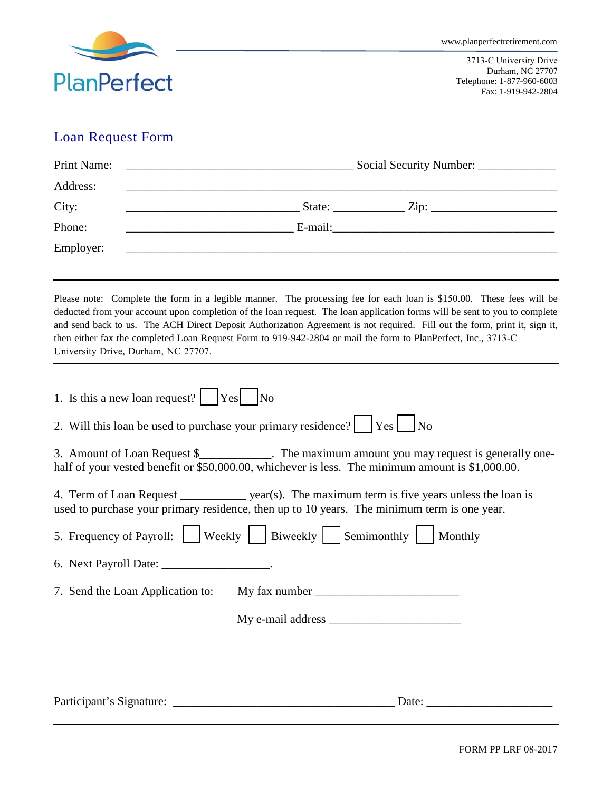

3713-C University Drive Durham, NC 27707 Telephone: 1-877-960-6003 Fax: 1-919-942-2804

## Loan Request Form

| Social Security Number: ____________ |  |  |  |  |
|--------------------------------------|--|--|--|--|
|                                      |  |  |  |  |
|                                      |  |  |  |  |
|                                      |  |  |  |  |
|                                      |  |  |  |  |
|                                      |  |  |  |  |

Please note: Complete the form in a legible manner. The processing fee for each loan is \$150.00. These fees will be deducted from your account upon completion of the loan request. The loan application forms will be sent to you to complete and send back to us. The ACH Direct Deposit Authorization Agreement is not required. Fill out the form, print it, sign it, then either fax the completed Loan Request Form to 919-942-2804 or mail the form to PlanPerfect, Inc., 3713-C University Drive, Durham, NC 27707.

| 1. Is this a new loan request?                                | $ Yes $ No                                                                                                                                                                                          |
|---------------------------------------------------------------|-----------------------------------------------------------------------------------------------------------------------------------------------------------------------------------------------------|
| 2. Will this loan be used to purchase your primary residence? | $Yes \mid No$                                                                                                                                                                                       |
|                                                               | 3. Amount of Loan Request \$_____________. The maximum amount you may request is generally one-<br>half of your vested benefit or \$50,000.00, whichever is less. The minimum amount is \$1,000.00. |
|                                                               | 4. Term of Loan Request ______________ year(s). The maximum term is five years unless the loan is<br>used to purchase your primary residence, then up to 10 years. The minimum term is one year.    |
|                                                               | 5. Frequency of Payroll: Weekly   Biweekly   Semimonthly   Monthly                                                                                                                                  |
| 6. Next Payroll Date: ___________________.                    |                                                                                                                                                                                                     |
|                                                               | 7. Send the Loan Application to: My fax number _________________________________                                                                                                                    |
|                                                               |                                                                                                                                                                                                     |
|                                                               |                                                                                                                                                                                                     |
|                                                               |                                                                                                                                                                                                     |
| Participant's Signature:                                      | Date: $\overline{\phantom{a}}$                                                                                                                                                                      |